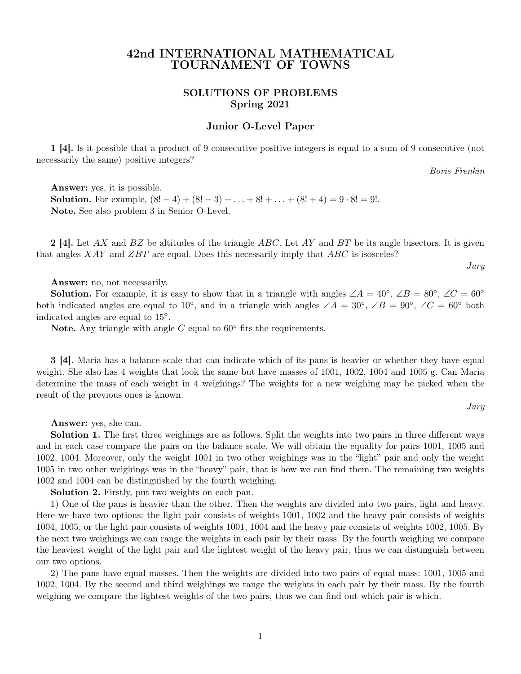# 42nd INTERNATIONAL MATHEMATICAL TOURNAMENT OF TOWNS

# SOLUTIONS OF PROBLEMS Spring 2021

# Junior O-Level Paper

1 [4]. Is it possible that a product of 9 consecutive positive integers is equal to a sum of 9 consecutive (not necessarily the same) positive integers?

Boris Frenkin

Answer: yes, it is possible. **Solution.** For example,  $(8! - 4) + (8! - 3) + ... + 8! + ... + (8! + 4) = 9 \cdot 8! = 9!$ . Note. See also problem 3 in Senior O-Level.

**2** [4]. Let AX and BZ be altitudes of the triangle ABC. Let AY and BT be its angle bisectors. It is given that angles  $XAY$  and  $ZBT$  are equal. Does this necessarily imply that  $ABC$  is isosceles?

Jury

Answer: no, not necessarily.

**Solution.** For example, it is easy to show that in a triangle with angles  $\angle A = 40^\circ$ ,  $\angle B = 80^\circ$ ,  $\angle C = 60^\circ$ both indicated angles are equal to 10<sup>°</sup>, and in a triangle with angles  $\angle A = 30^\circ$ ,  $\angle B = 90^\circ$ ,  $\angle C = 60^\circ$  both indicated angles are equal to 15◦ .

Note. Any triangle with angle  $C$  equal to  $60^{\circ}$  fits the requirements.

3 [4]. Maria has a balance scale that can indicate which of its pans is heavier or whether they have equal weight. She also has 4 weights that look the same but have masses of 1001, 1002, 1004 and 1005 g. Can Maria determine the mass of each weight in 4 weighings? The weights for a new weighing may be picked when the result of the previous ones is known.

Jury

Answer: yes, she can.

Solution 1. The first three weighings are as follows. Split the weights into two pairs in three different ways and in each case compare the pairs on the balance scale. We will obtain the equality for pairs 1001, 1005 and 1002, 1004. Moreover, only the weight 1001 in two other weighings was in the "light" pair and only the weight 1005 in two other weighings was in the "heavy" pair, that is how we can find them. The remaining two weights 1002 and 1004 can be distinguished by the fourth weighing.

Solution 2. Firstly, put two weights on each pan.

1) One of the pans is heavier than the other. Then the weights are divided into two pairs, light and heavy. Here we have two options: the light pair consists of weights 1001, 1002 and the heavy pair consists of weights 1004, 1005, or the light pair consists of weights 1001, 1004 and the heavy pair consists of weights 1002, 1005. By the next two weighings we can range the weights in each pair by their mass. By the fourth weighing we compare the heaviest weight of the light pair and the lightest weight of the heavy pair, thus we can distinguish between our two options.

2) The pans have equal masses. Then the weights are divided into two pairs of equal mass: 1001, 1005 and 1002, 1004. By the second and third weighings we range the weights in each pair by their mass. By the fourth weighing we compare the lightest weights of the two pairs, thus we can find out which pair is which.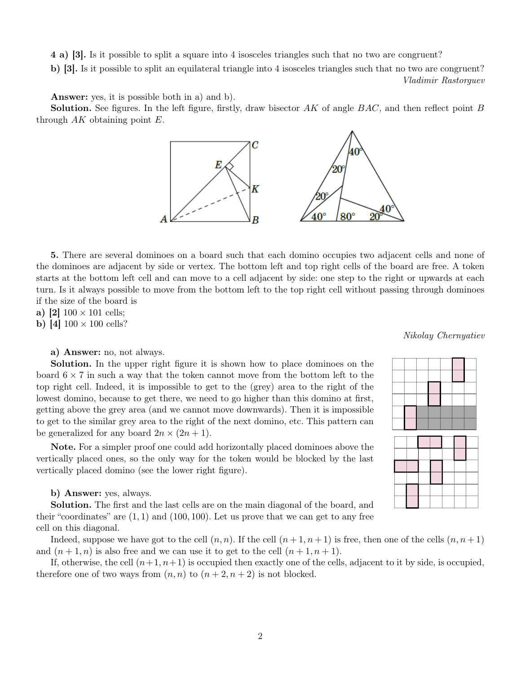4 a) [3]. Is it possible to split a square into 4 isosceles triangles such that no two are congruent?

b) [3]. Is it possible to split an equilateral triangle into 4 isosceles triangles such that no two are congruent? Vladimir Rastorguev

Answer: yes, it is possible both in a) and b).

**Solution.** See figures. In the left figure, firstly, draw bisector  $AK$  of angle  $BAC$ , and then reflect point  $B$ through  $AK$  obtaining point  $E$ .



5. There are several dominoes on a board such that each domino occupies two adjacent cells and none of the dominoes are adjacent by side or vertex. The bottom left and top right cells of the board are free. A token starts at the bottom left cell and can move to a cell adjacent by side: one step to the right or upwards at each turn. Is it always possible to move from the bottom left to the top right cell without passing through dominoes if the size of the board is

a) [2]  $100 \times 101$  cells;

**b**) [4]  $100 \times 100$  cells?

a) Answer: no, not always.

Solution. In the upper right figure it is shown how to place dominoes on the board  $6 \times 7$  in such a way that the token cannot move from the bottom left to the top right cell. Indeed, it is impossible to get to the (grey) area to the right of the lowest domino, because to get there, we need to go higher than this domino at first, getting above the grey area (and we cannot move downwards). Then it is impossible to get to the similar grey area to the right of the next domino, etc. This pattern can be generalized for any board  $2n \times (2n + 1)$ .

Note. For a simpler proof one could add horizontally placed dominoes above the vertically placed ones, so the only way for the token would be blocked by the last vertically placed domino (see the lower right figure).

b) Answer: yes, always.

Solution. The first and the last cells are on the main diagonal of the board, and their "coordinates" are  $(1, 1)$  and  $(100, 100)$ . Let us prove that we can get to any free cell on this diagonal.

Indeed, suppose we have got to the cell  $(n, n)$ . If the cell  $(n + 1, n + 1)$  is free, then one of the cells  $(n, n + 1)$ and  $(n+1, n)$  is also free and we can use it to get to the cell  $(n+1, n+1)$ .

If, otherwise, the cell  $(n+1, n+1)$  is occupied then exactly one of the cells, adjacent to it by side, is occupied, therefore one of two ways from  $(n, n)$  to  $(n + 2, n + 2)$  is not blocked.

Nikolay Chernyatiev

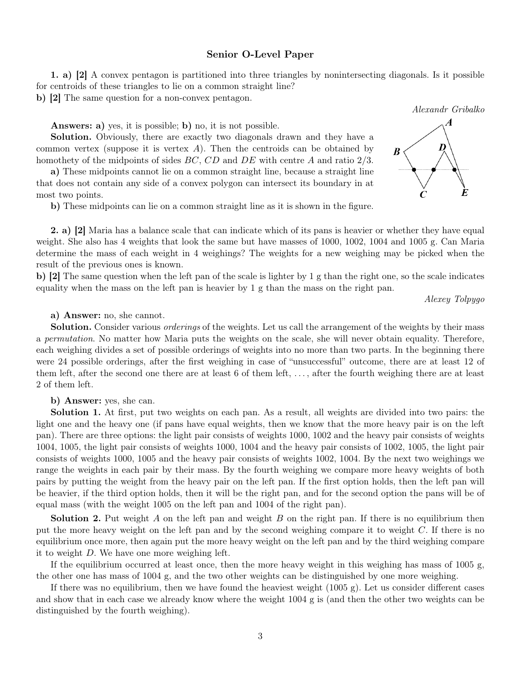## Senior O-Level Paper

1. a) [2] A convex pentagon is partitioned into three triangles by nonintersecting diagonals. Is it possible for centroids of these triangles to lie on a common straight line?

b) [2] The same question for a non-convex pentagon.

Answers: a) yes, it is possible; b) no, it is not possible.

Solution. Obviously, there are exactly two diagonals drawn and they have a common vertex (suppose it is vertex  $A$ ). Then the centroids can be obtained by homothety of the midpoints of sides BC, CD and DE with centre A and ratio 2/3.

a) These midpoints cannot lie on a common straight line, because a straight line that does not contain any side of a convex polygon can intersect its boundary in at most two points.

b) These midpoints can lie on a common straight line as it is shown in the figure.

2. a) [2] Maria has a balance scale that can indicate which of its pans is heavier or whether they have equal weight. She also has 4 weights that look the same but have masses of 1000, 1002, 1004 and 1005 g. Can Maria determine the mass of each weight in 4 weighings? The weights for a new weighing may be picked when the result of the previous ones is known.

b) [2] The same question when the left pan of the scale is lighter by 1 g than the right one, so the scale indicates equality when the mass on the left pan is heavier by 1 g than the mass on the right pan.

Alexey Tolpygo

a) Answer: no, she cannot.

Solution. Consider various *orderings* of the weights. Let us call the arrangement of the weights by their mass a permutation. No matter how Maria puts the weights on the scale, she will never obtain equality. Therefore, each weighing divides a set of possible orderings of weights into no more than two parts. In the beginning there were 24 possible orderings, after the first weighing in case of "unsuccessful" outcome, there are at least 12 of them left, after the second one there are at least 6 of them left, . . . , after the fourth weighing there are at least 2 of them left.

b) Answer: yes, she can.

Solution 1. At first, put two weights on each pan. As a result, all weights are divided into two pairs: the light one and the heavy one (if pans have equal weights, then we know that the more heavy pair is on the left pan). There are three options: the light pair consists of weights 1000, 1002 and the heavy pair consists of weights 1004, 1005, the light pair consists of weights 1000, 1004 and the heavy pair consists of 1002, 1005, the light pair consists of weights 1000, 1005 and the heavy pair consists of weights 1002, 1004. By the next two weighings we range the weights in each pair by their mass. By the fourth weighing we compare more heavy weights of both pairs by putting the weight from the heavy pair on the left pan. If the first option holds, then the left pan will be heavier, if the third option holds, then it will be the right pan, and for the second option the pans will be of equal mass (with the weight 1005 on the left pan and 1004 of the right pan).

**Solution 2.** Put weight  $A$  on the left pan and weight  $B$  on the right pan. If there is no equilibrium then put the more heavy weight on the left pan and by the second weighing compare it to weight  $C$ . If there is no equilibrium once more, then again put the more heavy weight on the left pan and by the third weighing compare it to weight D. We have one more weighing left.

If the equilibrium occurred at least once, then the more heavy weight in this weighing has mass of 1005 g, the other one has mass of 1004 g, and the two other weights can be distinguished by one more weighing.

If there was no equilibrium, then we have found the heaviest weight (1005 g). Let us consider different cases and show that in each case we already know where the weight 1004 g is (and then the other two weights can be distinguished by the fourth weighing).



Alexandr Gribalko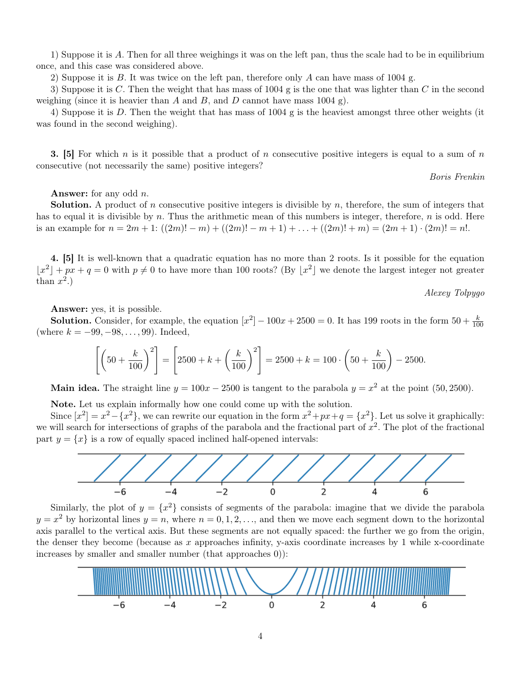1) Suppose it is A. Then for all three weighings it was on the left pan, thus the scale had to be in equilibrium once, and this case was considered above.

2) Suppose it is  $B$ . It was twice on the left pan, therefore only  $A$  can have mass of 1004 g.

3) Suppose it is C. Then the weight that has mass of 1004 g is the one that was lighter than C in the second weighing (since it is heavier than A and B, and D cannot have mass 1004 g).

4) Suppose it is D. Then the weight that has mass of 1004 g is the heaviest amongst three other weights (it was found in the second weighing).

**3.** [5] For which n is it possible that a product of n consecutive positive integers is equal to a sum of n consecutive (not necessarily the same) positive integers?

Boris Frenkin

**Answer:** for any odd  $n$ .

**Solution.** A product of n consecutive positive integers is divisible by  $n$ , therefore, the sum of integers that has to equal it is divisible by n. Thus the arithmetic mean of this numbers is integer, therefore, n is odd. Here is an example for  $n = 2m + 1$ :  $((2m)! - m) + ((2m)! - m + 1) + ... + ((2m)! + m) = (2m + 1) \cdot (2m)! = n!$ .

4. [5] It is well-known that a quadratic equation has no more than 2 roots. Is it possible for the equation  $|x^2| + px + q = 0$  with  $p \neq 0$  to have more than 100 roots? (By  $|x^2|$  we denote the largest integer not greater than  $x^2$ .)

Alexey Tolpygo

Answer: yes, it is possible.

**Solution.** Consider, for example, the equation  $[x^2] - 100x + 2500 = 0$ . It has 199 roots in the form  $50 + \frac{k}{100}$ (where  $k = -99, -98, \ldots, 99$ ). Indeed,

$$
\left[ \left( 50 + \frac{k}{100} \right)^2 \right] = \left[ 2500 + k + \left( \frac{k}{100} \right)^2 \right] = 2500 + k = 100 \cdot \left( 50 + \frac{k}{100} \right) - 2500.
$$

**Main idea.** The straight line  $y = 100x - 2500$  is tangent to the parabola  $y = x^2$  at the point (50, 2500).

Note. Let us explain informally how one could come up with the solution.

Since  $[x^2] = x^2 - \{x^2\}$ , we can rewrite our equation in the form  $x^2 + px + q = \{x^2\}$ . Let us solve it graphically: we will search for intersections of graphs of the parabola and the fractional part of  $x^2$ . The plot of the fractional part  $y = \{x\}$  is a row of equally spaced inclined half-opened intervals:



Similarly, the plot of  $y = \{x^2\}$  consists of segments of the parabola: imagine that we divide the parabola  $y = x^2$  by horizontal lines  $y = n$ , where  $n = 0, 1, 2, \ldots$ , and then we move each segment down to the horizontal axis parallel to the vertical axis. But these segments are not equally spaced: the further we go from the origin, the denser they become (because as x approaches infinity, y-axis coordinate increases by 1 while x-coordinate increases by smaller and smaller number (that approaches 0)):

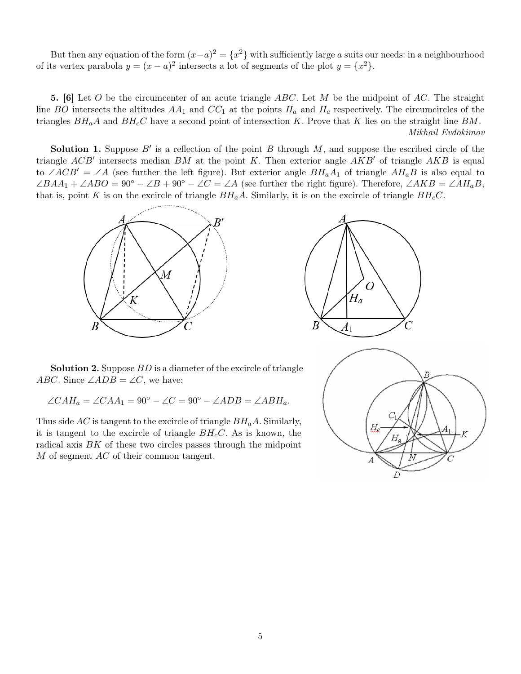But then any equation of the form  $(x-a)^2 = \{x^2\}$  with sufficiently large a suits our needs: in a neighbourhood of its vertex parabola  $y = (x - a)^2$  intersects a lot of segments of the plot  $y = \{x^2\}.$ 

5. [6] Let O be the circumcenter of an acute triangle ABC. Let M be the midpoint of AC. The straight line BO intersects the altitudes  $AA_1$  and  $CC_1$  at the points  $H_a$  and  $H_c$  respectively. The circumcircles of the triangles  $BH_aA$  and  $BH_cC$  have a second point of intersection K. Prove that K lies on the straight line BM. Mikhail Evdokimov

**Solution 1.** Suppose  $B'$  is a reflection of the point B through M, and suppose the escribed circle of the triangle  $ACB'$  intersects median BM at the point K. Then exterior angle  $AKB'$  of triangle  $AKB$  is equal to ∠ACB' = ∠A (see further the left figure). But exterior angle  $BH_aA_1$  of triangle  $AH_aB$  is also equal to  $\angle BAA_1 + \angle ABO = 90^\circ - \angle B + 90^\circ - \angle C = \angle A$  (see further the right figure). Therefore,  $\angle AKB = \angle AH_aB$ , that is, point K is on the excircle of triangle  $BH_aA$ . Similarly, it is on the excircle of triangle  $BH_cC$ .





Solution 2. Suppose BD is a diameter of the excircle of triangle ABC. Since  $\angle ADB = \angle C$ , we have:

 $\angle CAH_a = \angle CAA_1 = 90^\circ - \angle C = 90^\circ - \angle ADB = \angle ABH_a.$ 

Thus side AC is tangent to the excircle of triangle  $BH<sub>a</sub>A$ . Similarly, it is tangent to the excircle of triangle  $BH<sub>c</sub>C$ . As is known, the radical axis BK of these two circles passes through the midpoint M of segment AC of their common tangent.

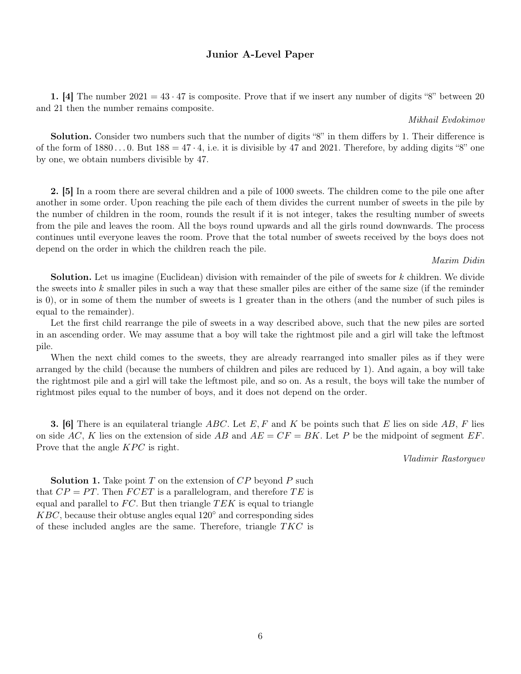# Junior A-Level Paper

1. [4] The number  $2021 = 43 \cdot 47$  is composite. Prove that if we insert any number of digits "8" between 20 and 21 then the number remains composite.

#### Mikhail Evdokimov

Solution. Consider two numbers such that the number of digits "8" in them differs by 1. Their difference is of the form of  $1880...0$ . But  $188 = 47 \cdot 4$ , i.e. it is divisible by 47 and 2021. Therefore, by adding digits "8" one by one, we obtain numbers divisible by 47.

2. [5] In a room there are several children and a pile of 1000 sweets. The children come to the pile one after another in some order. Upon reaching the pile each of them divides the current number of sweets in the pile by the number of children in the room, rounds the result if it is not integer, takes the resulting number of sweets from the pile and leaves the room. All the boys round upwards and all the girls round downwards. The process continues until everyone leaves the room. Prove that the total number of sweets received by the boys does not depend on the order in which the children reach the pile.

#### Maxim Didin

Solution. Let us imagine (Euclidean) division with remainder of the pile of sweets for k children. We divide the sweets into  $k$  smaller piles in such a way that these smaller piles are either of the same size (if the reminder is 0), or in some of them the number of sweets is 1 greater than in the others (and the number of such piles is equal to the remainder).

Let the first child rearrange the pile of sweets in a way described above, such that the new piles are sorted in an ascending order. We may assume that a boy will take the rightmost pile and a girl will take the leftmost pile.

When the next child comes to the sweets, they are already rearranged into smaller piles as if they were arranged by the child (because the numbers of children and piles are reduced by 1). And again, a boy will take the rightmost pile and a girl will take the leftmost pile, and so on. As a result, the boys will take the number of rightmost piles equal to the number of boys, and it does not depend on the order.

**3.** [6] There is an equilateral triangle ABC. Let E, F and K be points such that E lies on side AB, F lies on side AC, K lies on the extension of side AB and  $AE = CF = BK$ . Let P be the midpoint of segment EF. Prove that the angle  $KPC$  is right.

Vladimir Rastorguev

**Solution 1.** Take point T on the extension of  $\overline{CP}$  beyond P such that  $CP = PT$ . Then  $FCET$  is a parallelogram, and therefore TE is equal and parallel to  $FC$ . But then triangle  $TEK$  is equal to triangle  $KBC$ , because their obtuse angles equal  $120°$  and corresponding sides of these included angles are the same. Therefore, triangle  $TKC$  is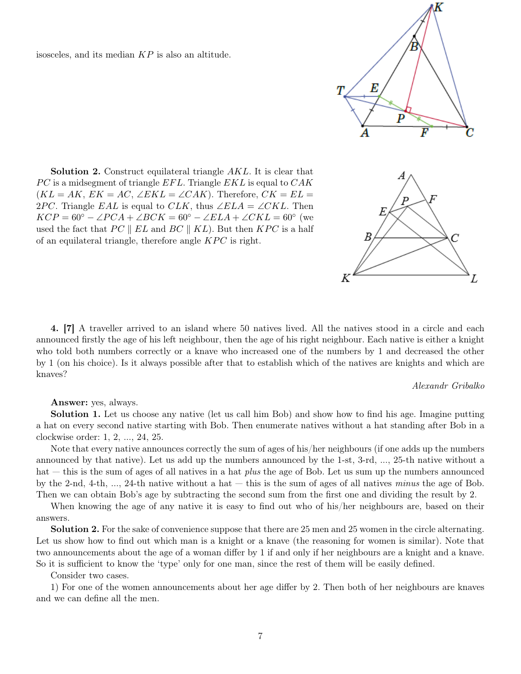isosceles, and its median KP is also an altitude.

Solution 2. Construct equilateral triangle AKL. It is clear that  $PC$  is a midsegment of triangle  $EFL$ . Triangle  $EKL$  is equal to  $CAK$  $(KL = AK, EK = AC, \angle EKL = \angle CAK)$ . Therefore,  $CK = EL =$ 2PC. Triangle EAL is equal to CLK, thus  $\angle ELA = \angle CKL$ . Then  $KCP = 60^{\circ} - \angle PCA + \angle BCK = 60^{\circ} - \angle ELA + \angle CKL = 60^{\circ}$  (we used the fact that  $PC \parallel EL$  and  $BC \parallel KL$ ). But then  $KPC$  is a half of an equilateral triangle, therefore angle  $KPC$  is right.

4. [7] A traveller arrived to an island where 50 natives lived. All the natives stood in a circle and each announced firstly the age of his left neighbour, then the age of his right neighbour. Each native is either a knight who told both numbers correctly or a knave who increased one of the numbers by 1 and decreased the other by 1 (on his choice). Is it always possible after that to establish which of the natives are knights and which are knaves?

Alexandr Gribalko

Answer: yes, always.

Solution 1. Let us choose any native (let us call him Bob) and show how to find his age. Imagine putting a hat on every second native starting with Bob. Then enumerate natives without a hat standing after Bob in a clockwise order: 1, 2, ..., 24, 25.

Note that every native announces correctly the sum of ages of his/her neighbours (if one adds up the numbers announced by that native). Let us add up the numbers announced by the 1-st, 3-rd, ..., 25-th native without a hat — this is the sum of ages of all natives in a hat *plus* the age of Bob. Let us sum up the numbers announced by the 2-nd, 4-th,  $...,$  24-th native without a hat  $-$  this is the sum of ages of all natives minus the age of Bob. Then we can obtain Bob's age by subtracting the second sum from the first one and dividing the result by 2.

When knowing the age of any native it is easy to find out who of his/her neighbours are, based on their answers.

Solution 2. For the sake of convenience suppose that there are 25 men and 25 women in the circle alternating. Let us show how to find out which man is a knight or a knave (the reasoning for women is similar). Note that two announcements about the age of a woman differ by 1 if and only if her neighbours are a knight and a knave. So it is sufficient to know the 'type' only for one man, since the rest of them will be easily defined.

Consider two cases.

1) For one of the women announcements about her age differ by 2. Then both of her neighbours are knaves and we can define all the men.

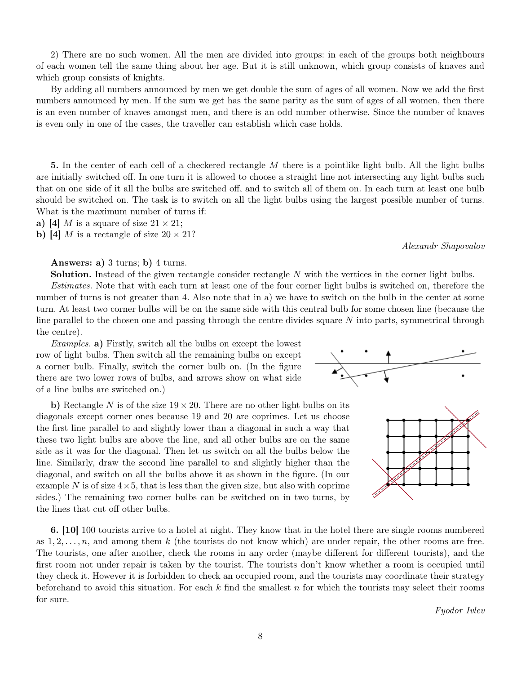2) There are no such women. All the men are divided into groups: in each of the groups both neighbours of each women tell the same thing about her age. But it is still unknown, which group consists of knaves and which group consists of knights.

By adding all numbers announced by men we get double the sum of ages of all women. Now we add the first numbers announced by men. If the sum we get has the same parity as the sum of ages of all women, then there is an even number of knaves amongst men, and there is an odd number otherwise. Since the number of knaves is even only in one of the cases, the traveller can establish which case holds.

5. In the center of each cell of a checkered rectangle M there is a pointlike light bulb. All the light bulbs are initially switched off. In one turn it is allowed to choose a straight line not intersecting any light bulbs such that on one side of it all the bulbs are switched off, and to switch all of them on. In each turn at least one bulb should be switched on. The task is to switch on all the light bulbs using the largest possible number of turns. What is the maximum number of turns if:

a) [4] M is a square of size  $21 \times 21$ ;

b) [4] M is a rectangle of size  $20 \times 21$ ?

# Answers: a)  $3 \text{ turns}$ ; b)  $4 \text{ turns}$ .

Solution. Instead of the given rectangle consider rectangle N with the vertices in the corner light bulbs.

Estimates. Note that with each turn at least one of the four corner light bulbs is switched on, therefore the number of turns is not greater than 4. Also note that in a) we have to switch on the bulb in the center at some turn. At least two corner bulbs will be on the same side with this central bulb for some chosen line (because the line parallel to the chosen one and passing through the centre divides square N into parts, symmetrical through the centre).

Examples. a) Firstly, switch all the bulbs on except the lowest row of light bulbs. Then switch all the remaining bulbs on except a corner bulb. Finally, switch the corner bulb on. (In the figure there are two lower rows of bulbs, and arrows show on what side of a line bulbs are switched on.)

b) Rectangle N is of the size  $19 \times 20$ . There are no other light bulbs on its diagonals except corner ones because 19 and 20 are coprimes. Let us choose the first line parallel to and slightly lower than a diagonal in such a way that these two light bulbs are above the line, and all other bulbs are on the same side as it was for the diagonal. Then let us switch on all the bulbs below the line. Similarly, draw the second line parallel to and slightly higher than the diagonal, and switch on all the bulbs above it as shown in the figure. (In our example N is of size  $4 \times 5$ , that is less than the given size, but also with coprime sides.) The remaining two corner bulbs can be switched on in two turns, by the lines that cut off other bulbs.

6. [10] 100 tourists arrive to a hotel at night. They know that in the hotel there are single rooms numbered as  $1, 2, \ldots, n$ , and among them k (the tourists do not know which) are under repair, the other rooms are free. The tourists, one after another, check the rooms in any order (maybe different for different tourists), and the first room not under repair is taken by the tourist. The tourists don't know whether a room is occupied until they check it. However it is forbidden to check an occupied room, and the tourists may coordinate their strategy beforehand to avoid this situation. For each  $k$  find the smallest  $n$  for which the tourists may select their rooms for sure.





Alexandr Shapovalov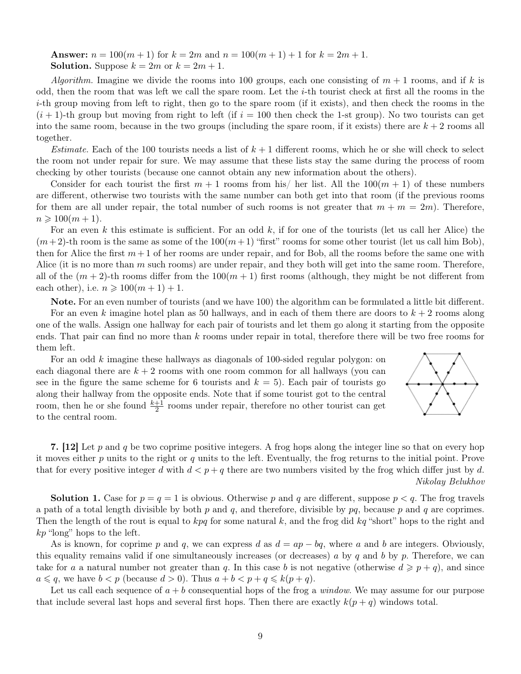**Answer:**  $n = 100(m + 1)$  for  $k = 2m$  and  $n = 100(m + 1) + 1$  for  $k = 2m + 1$ . **Solution.** Suppose  $k = 2m$  or  $k = 2m + 1$ .

Algorithm. Imagine we divide the rooms into 100 groups, each one consisting of  $m + 1$  rooms, and if k is odd, then the room that was left we call the spare room. Let the  $i$ -th tourist check at first all the rooms in the i-th group moving from left to right, then go to the spare room (if it exists), and then check the rooms in the  $(i + 1)$ -th group but moving from right to left (if  $i = 100$  then check the 1-st group). No two tourists can get into the same room, because in the two groups (including the spare room, if it exists) there are  $k + 2$  rooms all together.

*Estimate.* Each of the 100 tourists needs a list of  $k + 1$  different rooms, which he or she will check to select the room not under repair for sure. We may assume that these lists stay the same during the process of room checking by other tourists (because one cannot obtain any new information about the others).

Consider for each tourist the first  $m + 1$  rooms from his/ her list. All the  $100(m + 1)$  of these numbers are different, otherwise two tourists with the same number can both get into that room (if the previous rooms for them are all under repair, the total number of such rooms is not greater that  $m + m = 2m$ ). Therefore,  $n \geq 100(m + 1)$ .

For an even k this estimate is sufficient. For an odd k, if for one of the tourists (let us call her Alice) the  $(m+2)$ -th room is the same as some of the  $100(m+1)$  "first" rooms for some other tourist (let us call him Bob), then for Alice the first  $m+1$  of her rooms are under repair, and for Bob, all the rooms before the same one with Alice (it is no more than  $m$  such rooms) are under repair, and they both will get into the same room. Therefore, all of the  $(m+2)$ -th rooms differ from the  $100(m+1)$  first rooms (although, they might be not different from each other), i.e.  $n \geqslant 100(m+1)+1$ .

Note. For an even number of tourists (and we have 100) the algorithm can be formulated a little bit different.

For an even k imagine hotel plan as 50 hallways, and in each of them there are doors to  $k + 2$  rooms along one of the walls. Assign one hallway for each pair of tourists and let them go along it starting from the opposite ends. That pair can find no more than k rooms under repair in total, therefore there will be two free rooms for them left.

For an odd k imagine these hallways as diagonals of 100-sided regular polygon: on each diagonal there are  $k + 2$  rooms with one room common for all hallways (you can see in the figure the same scheme for 6 tourists and  $k = 5$ ). Each pair of tourists go along their hallway from the opposite ends. Note that if some tourist got to the central room, then he or she found  $\frac{k+1}{2}$  rooms under repair, therefore no other tourist can get to the central room.



7. [12] Let p and q be two coprime positive integers. A frog hops along the integer line so that on every hop it moves either  $p$  units to the right or  $q$  units to the left. Eventually, the frog returns to the initial point. Prove that for every positive integer d with  $d < p+q$  there are two numbers visited by the frog which differ just by d. Nikolay Belukhov

**Solution 1.** Case for  $p = q = 1$  is obvious. Otherwise p and q are different, suppose  $p < q$ . The frog travels a path of a total length divisible by both  $p$  and  $q$ , and therefore, divisible by  $pq$ , because  $p$  and  $q$  are coprimes. Then the length of the rout is equal to  $kpq$  for some natural k, and the frog did kq "short" hops to the right and kp "long" hops to the left.

As is known, for coprime p and q, we can express d as  $d = ap - bq$ , where a and b are integers. Obviously, this equality remains valid if one simultaneously increases (or decreases) a by q and b by  $p$ . Therefore, we can take for a a natural number not greater than q. In this case b is not negative (otherwise  $d \geqslant p+q$ ), and since  $a \leqslant q$ , we have  $b < p$  (because  $d > 0$ ). Thus  $a + b < p + q \leqslant k(p + q)$ .

Let us call each sequence of  $a + b$  consequential hops of the frog a *window*. We may assume for our purpose that include several last hops and several first hops. Then there are exactly  $k(p+q)$  windows total.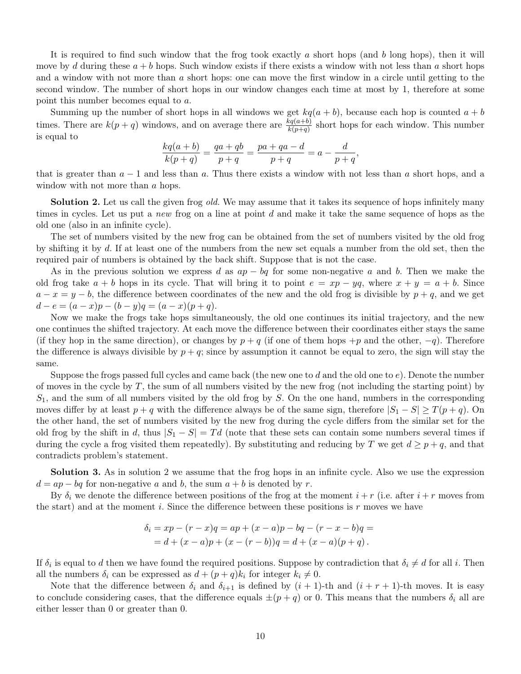It is required to find such window that the frog took exactly a short hops (and b long hops), then it will move by d during these  $a + b$  hops. Such window exists if there exists a window with not less than a short hops and a window with not more than a short hops: one can move the first window in a circle until getting to the second window. The number of short hops in our window changes each time at most by 1, therefore at some point this number becomes equal to a.

Summing up the number of short hops in all windows we get  $kq(a + b)$ , because each hop is counted  $a + b$ times. There are  $k(p+q)$  windows, and on average there are  $\frac{kq(a+b)}{k(p+q)}$  short hops for each window. This number is equal to

$$
\frac{kq(a+b)}{k(p+q)} = \frac{qa+qb}{p+q} = \frac{pa+qa-d}{p+q} = a - \frac{d}{p+q},
$$

that is greater than  $a - 1$  and less than a. Thus there exists a window with not less than a short hops, and a window with not more than a hops.

**Solution 2.** Let us call the given frog *old*. We may assume that it takes its sequence of hops infinitely many times in cycles. Let us put a new frog on a line at point d and make it take the same sequence of hops as the old one (also in an infinite cycle).

The set of numbers visited by the new frog can be obtained from the set of numbers visited by the old frog by shifting it by d. If at least one of the numbers from the new set equals a number from the old set, then the required pair of numbers is obtained by the back shift. Suppose that is not the case.

As in the previous solution we express d as  $ap - bq$  for some non-negative a and b. Then we make the old frog take  $a + b$  hops in its cycle. That will bring it to point  $e = xp - yq$ , where  $x + y = a + b$ . Since  $a - x = y - b$ , the difference between coordinates of the new and the old frog is divisible by  $p + q$ , and we get  $d - e = (a - x)p - (b - y)q = (a - x)(p + q).$ 

Now we make the frogs take hops simultaneously, the old one continues its initial trajectory, and the new one continues the shifted trajectory. At each move the difference between their coordinates either stays the same (if they hop in the same direction), or changes by  $p + q$  (if one of them hops  $+p$  and the other,  $-q$ ). Therefore the difference is always divisible by  $p+q$ ; since by assumption it cannot be equal to zero, the sign will stay the same.

Suppose the frogs passed full cycles and came back (the new one to d and the old one to  $e$ ). Denote the number of moves in the cycle by  $T$ , the sum of all numbers visited by the new frog (not including the starting point) by  $S_1$ , and the sum of all numbers visited by the old frog by  $S$ . On the one hand, numbers in the corresponding moves differ by at least  $p + q$  with the difference always be of the same sign, therefore  $|S_1 - S| \ge T(p + q)$ . On the other hand, the set of numbers visited by the new frog during the cycle differs from the similar set for the old frog by the shift in d, thus  $|S_1 - S| = T d$  (note that these sets can contain some numbers several times if during the cycle a frog visited them repeatedly). By substituting and reducing by T we get  $d \geq p+q$ , and that contradicts problem's statement.

Solution 3. As in solution 2 we assume that the frog hops in an infinite cycle. Also we use the expression  $d = ap - bq$  for non-negative a and b, the sum  $a + b$  is denoted by r.

By  $\delta_i$  we denote the difference between positions of the frog at the moment  $i + r$  (i.e. after  $i + r$  moves from the start) and at the moment i. Since the difference between these positions is  $r$  moves we have

$$
\delta_i = xp - (r - x)q = ap + (x - a)p - bq - (r - x - b)q =
$$
  
= d + (x - a)p + (x - (r - b))q = d + (x - a)(p + q).

If  $\delta_i$  is equal to d then we have found the required positions. Suppose by contradiction that  $\delta_i \neq d$  for all i. Then all the numbers  $\delta_i$  can be expressed as  $d + (p + q)k_i$  for integer  $k_i \neq 0$ .

Note that the difference between  $\delta_i$  and  $\delta_{i+1}$  is defined by  $(i + 1)$ -th and  $(i + r + 1)$ -th moves. It is easy to conclude considering cases, that the difference equals  $\pm(p+q)$  or 0. This means that the numbers  $\delta_i$  all are either lesser than 0 or greater than 0.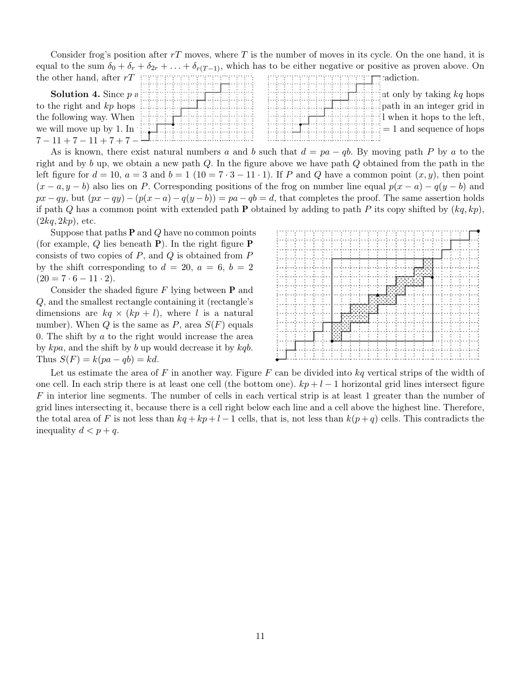Consider frog's position after  $rT$  moves, where T is the number of moves in its cycle. On the one hand, it is equal to the sum  $\delta_0 + \delta_r + \delta_{2r} + \ldots + \delta_{r(T-1)}$ , which has to be either negative or positive as proven above. On the other hand, after  $rT$  decreases the frog component of the frog component  $\Gamma$  cadiction.

| <b>Solution 4.</b> Since $p$ a |                                                                                                                                                                                                                                                                                            | $\pm$ int only by taking kq hops                                                                                                                                                                                                                                                                                                |  |
|--------------------------------|--------------------------------------------------------------------------------------------------------------------------------------------------------------------------------------------------------------------------------------------------------------------------------------------|---------------------------------------------------------------------------------------------------------------------------------------------------------------------------------------------------------------------------------------------------------------------------------------------------------------------------------|--|
|                                |                                                                                                                                                                                                                                                                                            | inimizininininininininininininininin an integer grid in                                                                                                                                                                                                                                                                         |  |
|                                | the following way. When $\frac{1}{2}$ is $\frac{1}{2}$ in $\frac{1}{2}$ in $\frac{1}{2}$ in $\frac{1}{2}$ in $\frac{1}{2}$ in $\frac{1}{2}$ in $\frac{1}{2}$ in $\frac{1}{2}$ in $\frac{1}{2}$ in $\frac{1}{2}$ in $\frac{1}{2}$ in $\frac{1}{2}$ in $\frac{1}{2}$ in $\frac{1}{2}$ in $\$ | $\frac{1}{2}$ in the set of the left,                                                                                                                                                                                                                                                                                           |  |
|                                | we will move up by 1. In $\left[\begin{array}{c} 1 & 1 \\ 1 & 1 \end{array}\right]$                                                                                                                                                                                                        | $\frac{1}{2}$ , $\frac{1}{2}$ , $\frac{1}{2}$ , $\frac{1}{2}$ , $\frac{1}{2}$ , $\frac{1}{2}$ , $\frac{1}{2}$ , $\frac{1}{2}$ , $\frac{1}{2}$ , $\frac{1}{2}$ , $\frac{1}{2}$ , $\frac{1}{2}$ , $\frac{1}{2}$ , $\frac{1}{2}$ , $\frac{1}{2}$ , $\frac{1}{2}$ , $\frac{1}{2}$ , $\frac{1}{2}$ , $\frac{1}{2}$ , $\frac{1}{2}$ , |  |
| $7-11+7-11+7+7-1$              |                                                                                                                                                                                                                                                                                            |                                                                                                                                                                                                                                                                                                                                 |  |

As is known, there exist natural numbers a and b such that  $d = pa - qb$ . By moving path P by a to the right and by b up, we obtain a new path  $Q$ . In the figure above we have path  $Q$  obtained from the path in the left figure for  $d = 10$ ,  $a = 3$  and  $b = 1$  (10 = 7 · 3 – 11 · 1). If P and Q have a common point  $(x, y)$ , then point  $(x - a, y - b)$  also lies on P. Corresponding positions of the frog on number line equal  $p(x - a) - q(y - b)$  and  $px - qy$ , but  $(px - qy) - (p(x - a) - q(y - b)) = pa - qb = d$ , that completes the proof. The same assertion holds if path Q has a common point with extended path P obtained by adding to path P its copy shifted by  $(kq, kp)$ ,  $(2kq, 2kp)$ , etc.

Suppose that paths  $P$  and  $Q$  have no common points (for example,  $Q$  lies beneath **P**). In the right figure **P** consists of two copies of  $P$ , and  $Q$  is obtained from  $P$ by the shift corresponding to  $d = 20$ ,  $a = 6$ ,  $b = 2$  $(20 = 7 \cdot 6 - 11 \cdot 2).$ 

Consider the shaded figure  $F$  lying between  $P$  and Q, and the smallest rectangle containing it (rectangle's dimensions are  $kq \times (kp + l)$ , where l is a natural number). When Q is the same as  $P$ , area  $S(F)$  equals 0. The shift by  $a$  to the right would increase the area by kpa, and the shift by b up would decrease it by kqb. Thus  $S(F) = k(pa - qb) = kd$ .



Let us estimate the area of F in another way. Figure F can be divided into  $kq$  vertical strips of the width of one cell. In each strip there is at least one cell (the bottom one).  $kp+l-1$  horizontal grid lines intersect figure F in interior line segments. The number of cells in each vertical strip is at least 1 greater than the number of grid lines intersecting it, because there is a cell right below each line and a cell above the highest line. Therefore, the total area of F is not less than  $kq + kp + l - 1$  cells, that is, not less than  $k(p+q)$  cells. This contradicts the inequality  $d < p + q$ .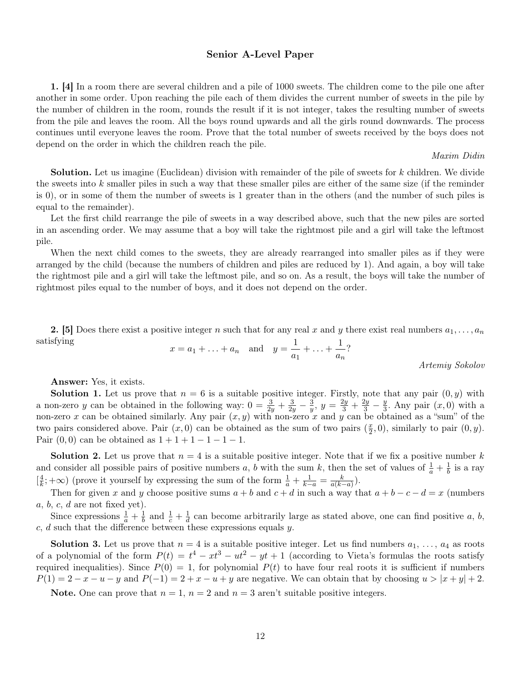# Senior A-Level Paper

1. [4] In a room there are several children and a pile of 1000 sweets. The children come to the pile one after another in some order. Upon reaching the pile each of them divides the current number of sweets in the pile by the number of children in the room, rounds the result if it is not integer, takes the resulting number of sweets from the pile and leaves the room. All the boys round upwards and all the girls round downwards. The process continues until everyone leaves the room. Prove that the total number of sweets received by the boys does not depend on the order in which the children reach the pile.

### Maxim Didin

Solution. Let us imagine (Euclidean) division with remainder of the pile of sweets for k children. We divide the sweets into k smaller piles in such a way that these smaller piles are either of the same size (if the reminder is 0), or in some of them the number of sweets is 1 greater than in the others (and the number of such piles is equal to the remainder).

Let the first child rearrange the pile of sweets in a way described above, such that the new piles are sorted in an ascending order. We may assume that a boy will take the rightmost pile and a girl will take the leftmost pile.

When the next child comes to the sweets, they are already rearranged into smaller piles as if they were arranged by the child (because the numbers of children and piles are reduced by 1). And again, a boy will take the rightmost pile and a girl will take the leftmost pile, and so on. As a result, the boys will take the number of rightmost piles equal to the number of boys, and it does not depend on the order.

2. [5] Does there exist a positive integer n such that for any real x and y there exist real numbers  $a_1, \ldots, a_n$ satisfying 1 1

$$
x = a_1 + ... + a_n
$$
 and  $y = \frac{1}{a_1} + ... + \frac{1}{a_n}$ ?

Artemiy Sokolov

Answer: Yes, it exists.

**Solution 1.** Let us prove that  $n = 6$  is a suitable positive integer. Firstly, note that any pair  $(0, y)$  with a non-zero y can be obtained in the following way:  $0 = \frac{3}{2y} + \frac{3}{2y} - \frac{3}{y}$  $\frac{3}{y}$ ,  $y = \frac{2y}{3} + \frac{2y}{3} - \frac{y}{3}$  $\frac{y}{3}$ . Any pair  $(x, 0)$  with a non-zero x can be obtained similarly. Any pair  $(x, y)$  with non-zero x and y can be obtained as a "sum" of the two pairs considered above. Pair  $(x, 0)$  can be obtained as the sum of two pairs  $(\frac{x}{2})$  $(\frac{x}{2}, 0)$ , similarly to pair  $(0, y)$ . Pair  $(0, 0)$  can be obtained as  $1 + 1 + 1 - 1 - 1 - 1$ .

**Solution 2.** Let us prove that  $n = 4$  is a suitable positive integer. Note that if we fix a positive number k and consider all possible pairs of positive numbers a, b with the sum k, then the set of values of  $\frac{1}{a} + \frac{1}{b}$  $\frac{1}{b}$  is a ray  $\left[\frac{4}{k}\right]$  $\frac{4}{k}$ ;  $+\infty$ ) (prove it yourself by expressing the sum of the form  $\frac{1}{a} + \frac{1}{k-a} = \frac{k}{a(k-a)}$  $\frac{k}{a(k-a)}$ ).

Then for given x and y choose positive sums  $a + b$  and  $c + d$  in such a way that  $a + b - c - d = x$  (numbers  $a, b, c, d$  are not fixed yet).

Since expressions  $\frac{1}{a} + \frac{1}{b}$  $\frac{1}{b}$  and  $\frac{1}{c} + \frac{1}{d}$  $\frac{1}{d}$  can become arbitrarily large as stated above, one can find positive a, b,  $c, d$  such that the difference between these expressions equals  $y$ .

**Solution 3.** Let us prove that  $n = 4$  is a suitable positive integer. Let us find numbers  $a_1, \ldots, a_4$  as roots of a polynomial of the form  $P(t) = t^4 - xt^3 - ut^2 - yt + 1$  (according to Vieta's formulas the roots satisfy required inequalities). Since  $P(0) = 1$ , for polynomial  $P(t)$  to have four real roots it is sufficient if numbers  $P(1) = 2 - x - u - y$  and  $P(-1) = 2 + x - u + y$  are negative. We can obtain that by choosing  $u > |x + y| + 2$ .

Note. One can prove that  $n = 1$ ,  $n = 2$  and  $n = 3$  aren't suitable positive integers.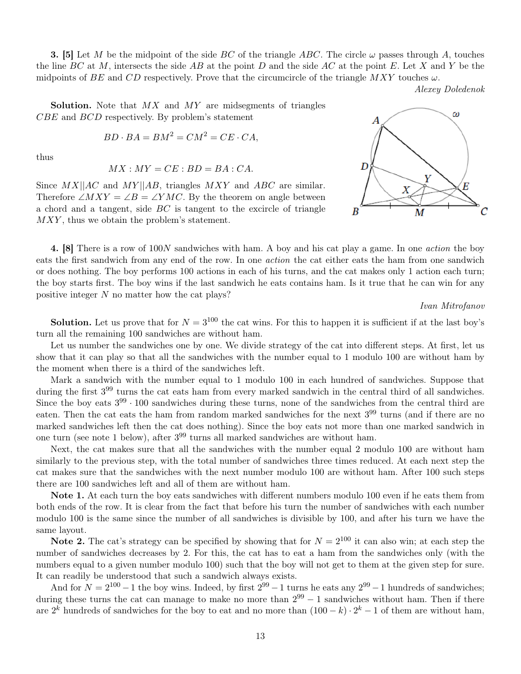**3.** [5] Let M be the midpoint of the side BC of the triangle ABC. The circle  $\omega$  passes through A, touches the line BC at M, intersects the side AB at the point D and the side AC at the point E. Let X and Y be the midpoints of BE and CD respectively. Prove that the circumcircle of the triangle  $MXY$  touches  $\omega$ .

Alexey Doledenok

**Solution.** Note that  $MX$  and  $MY$  are midsegments of triangles CBE and BCD respectively. By problem's statement

$$
BD \cdot BA = BM^2 = CM^2 = CE \cdot CA,
$$

thus

$$
MX: MY = CE : BD = BA : CA.
$$

Since  $MX||AC$  and  $MY||AB$ , triangles  $MXY$  and  $ABC$  are similar. Therefore  $\angle MXY = \angle B = \angle YMC$ . By the theorem on angle between a chord and a tangent, side  $BC$  is tangent to the excircle of triangle MXY, thus we obtain the problem's statement.



4. [8] There is a row of 100N sandwiches with ham. A boy and his cat play a game. In one action the boy eats the first sandwich from any end of the row. In one action the cat either eats the ham from one sandwich or does nothing. The boy performs 100 actions in each of his turns, and the cat makes only 1 action each turn; the boy starts first. The boy wins if the last sandwich he eats contains ham. Is it true that he can win for any positive integer N no matter how the cat plays?

```
Ivan Mitrofanov
```
**Solution.** Let us prove that for  $N = 3^{100}$  the cat wins. For this to happen it is sufficient if at the last boy's turn all the remaining 100 sandwiches are without ham.

Let us number the sandwiches one by one. We divide strategy of the cat into different steps. At first, let us show that it can play so that all the sandwiches with the number equal to 1 modulo 100 are without ham by the moment when there is a third of the sandwiches left.

Mark a sandwich with the number equal to 1 modulo 100 in each hundred of sandwiches. Suppose that during the first  $3^{99}$  turns the cat eats ham from every marked sandwich in the central third of all sandwiches. Since the boy eats  $3^{99} \cdot 100$  sandwiches during these turns, none of the sandwiches from the central third are eaten. Then the cat eats the ham from random marked sandwiches for the next  $3^{99}$  turns (and if there are no marked sandwiches left then the cat does nothing). Since the boy eats not more than one marked sandwich in one turn (see note 1 below), after 3 <sup>99</sup> turns all marked sandwiches are without ham.

Next, the cat makes sure that all the sandwiches with the number equal 2 modulo 100 are without ham similarly to the previous step, with the total number of sandwiches three times reduced. At each next step the cat makes sure that the sandwiches with the next number modulo 100 are without ham. After 100 such steps there are 100 sandwiches left and all of them are without ham.

Note 1. At each turn the boy eats sandwiches with different numbers modulo 100 even if he eats them from both ends of the row. It is clear from the fact that before his turn the number of sandwiches with each number modulo 100 is the same since the number of all sandwiches is divisible by 100, and after his turn we have the same layout.

**Note 2.** The cat's strategy can be specified by showing that for  $N = 2^{100}$  it can also win; at each step the number of sandwiches decreases by 2. For this, the cat has to eat a ham from the sandwiches only (with the numbers equal to a given number modulo 100) such that the boy will not get to them at the given step for sure. It can readily be understood that such a sandwich always exists.

And for  $N = 2^{100} - 1$  the boy wins. Indeed, by first  $2^{99} - 1$  turns he eats any  $2^{99} - 1$  hundreds of sandwiches; during these turns the cat can manage to make no more than  $2^{99} - 1$  sandwiches without ham. Then if there are  $2^k$  hundreds of sandwiches for the boy to eat and no more than  $(100 - k) \cdot 2^k - 1$  of them are without ham,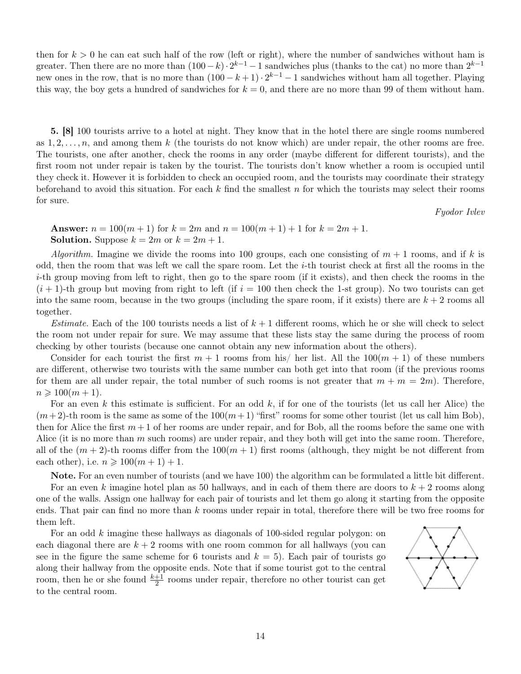then for  $k > 0$  he can eat such half of the row (left or right), where the number of sandwiches without ham is greater. Then there are no more than  $(100 - k) \cdot 2^{k-1} - 1$  sandwiches plus (thanks to the cat) no more than  $2^{k-1}$ new ones in the row, that is no more than  $(100 - k + 1) \cdot 2^{k-1} - 1$  sandwiches without ham all together. Playing this way, the boy gets a hundred of sandwiches for  $k = 0$ , and there are no more than 99 of them without ham.

5. [8] 100 tourists arrive to a hotel at night. They know that in the hotel there are single rooms numbered as  $1, 2, \ldots, n$ , and among them k (the tourists do not know which) are under repair, the other rooms are free. The tourists, one after another, check the rooms in any order (maybe different for different tourists), and the first room not under repair is taken by the tourist. The tourists don't know whether a room is occupied until they check it. However it is forbidden to check an occupied room, and the tourists may coordinate their strategy beforehand to avoid this situation. For each  $k$  find the smallest  $n$  for which the tourists may select their rooms for sure.

Fyodor Ivlev

Answer:  $n = 100(m + 1)$  for  $k = 2m$  and  $n = 100(m + 1) + 1$  for  $k = 2m + 1$ . **Solution.** Suppose  $k = 2m$  or  $k = 2m + 1$ .

Algorithm. Imagine we divide the rooms into 100 groups, each one consisting of  $m + 1$  rooms, and if k is odd, then the room that was left we call the spare room. Let the  $i$ -th tourist check at first all the rooms in the  $i$ -th group moving from left to right, then go to the spare room (if it exists), and then check the rooms in the  $(i+1)$ -th group but moving from right to left (if  $i = 100$  then check the 1-st group). No two tourists can get into the same room, because in the two groups (including the spare room, if it exists) there are  $k + 2$  rooms all together.

*Estimate.* Each of the 100 tourists needs a list of  $k + 1$  different rooms, which he or she will check to select the room not under repair for sure. We may assume that these lists stay the same during the process of room checking by other tourists (because one cannot obtain any new information about the others).

Consider for each tourist the first  $m + 1$  rooms from his/ her list. All the  $100(m + 1)$  of these numbers are different, otherwise two tourists with the same number can both get into that room (if the previous rooms for them are all under repair, the total number of such rooms is not greater that  $m + m = 2m$ ). Therefore,  $n \geq 100(m + 1).$ 

For an even k this estimate is sufficient. For an odd k, if for one of the tourists (let us call her Alice) the  $(m+2)$ -th room is the same as some of the  $100(m+1)$  "first" rooms for some other tourist (let us call him Bob), then for Alice the first  $m+1$  of her rooms are under repair, and for Bob, all the rooms before the same one with Alice (it is no more than  $m$  such rooms) are under repair, and they both will get into the same room. Therefore, all of the  $(m+2)$ -th rooms differ from the  $100(m+1)$  first rooms (although, they might be not different from each other), i.e.  $n \geqslant 100(m+1) + 1$ .

Note. For an even number of tourists (and we have 100) the algorithm can be formulated a little bit different. For an even k imagine hotel plan as 50 hallways, and in each of them there are doors to  $k + 2$  rooms along one of the walls. Assign one hallway for each pair of tourists and let them go along it starting from the opposite ends. That pair can find no more than  $k$  rooms under repair in total, therefore there will be two free rooms for them left.

For an odd k imagine these hallways as diagonals of 100-sided regular polygon: on each diagonal there are  $k + 2$  rooms with one room common for all hallways (you can see in the figure the same scheme for 6 tourists and  $k = 5$ ). Each pair of tourists go along their hallway from the opposite ends. Note that if some tourist got to the central room, then he or she found  $\frac{k+1}{2}$  rooms under repair, therefore no other tourist can get to the central room.

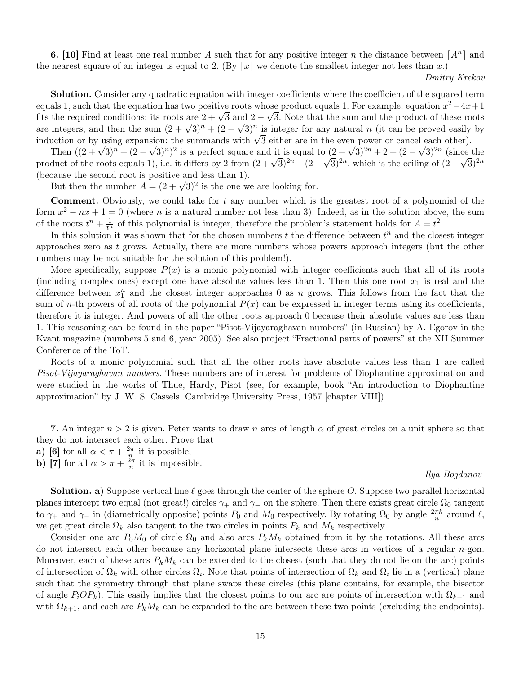**6.** [10] Find at least one real number A such that for any positive integer n the distance between  $[A^n]$  and the nearest square of an integer is equal to 2. (By  $\lceil x \rceil$  we denote the smallest integer not less than x.)

Dmitry Krekov

Solution. Consider any quadratic equation with integer coefficients where the coefficient of the squared term equals 1, such that the equation has two positive roots whose product equals 1. For example, equation  $x^2-4x+1$ equals 1, such that the equation has two positive roots whose product equals 1. For example, equation  $x^2 - 4x + 1$  fits the required conditions: its roots are  $2 + \sqrt{3}$  and  $2 - \sqrt{3}$ . Note that the sum and the product of are integers, and then the sum  $(2 + \sqrt{3})^n + (2 - \sqrt{3})^n$  is integer for any natural *n* (it can be proved easily by are integers, and then the sum  $(2 + \sqrt{3})^n + (2 - \sqrt{3})^n$  is integer for any natural *n* (it can be proved eas are integers, and then the sum  $(2 + \sqrt{3})^n + (2 - \sqrt{3})^n$  is integer for any natural *n* (it can be proved easily induction or by using expansion: the summands with  $\sqrt{3}$  either are in the even power or cancel each other).

Then  $((2+\sqrt{3})^n + (2-\sqrt{3})^n)^2$  is a perfect square and it is equal to  $(2+\sqrt{3})^{2n} + 2 + (2-\sqrt{3})^{2n}$  (since the Then  $((2 + \sqrt{3})^n + (2 - \sqrt{3})^n)^2$  is a perfect square and it is equal to  $(2 + \sqrt{3})^{2n} + 2 + (2 - \sqrt{3})^{2n}$  (since the product of the roots equals 1), i.e. it differs by 2 from  $(2 + \sqrt{3})^{2n} + (2 - \sqrt{3})^{2n}$ , which is the ceiling o (because the second root is positive and less than 1).

cause the second root is positive and less than 1).<br>But then the number  $A = (2 + \sqrt{3})^2$  is the one we are looking for.

**Comment.** Obviously, we could take for  $t$  any number which is the greatest root of a polynomial of the form  $x^2 - nx + 1 = 0$  (where n is a natural number not less than 3). Indeed, as in the solution above, the sum of the roots  $t^n + \frac{1}{t^n}$  of this polynomial is integer, therefore the problem's statement holds for  $A = t^2$ .

In this solution it was shown that for the chosen numbers  $t$  the difference between  $t^n$  and the closest integer approaches zero as  $t$  grows. Actually, there are more numbers whose powers approach integers (but the other numbers may be not suitable for the solution of this problem!).

More specifically, suppose  $P(x)$  is a monic polynomial with integer coefficients such that all of its roots (including complex ones) except one have absolute values less than 1. Then this one root  $x_1$  is real and the difference between  $x_1^n$  and the closest integer approaches 0 as n grows. This follows from the fact that the sum of *n*-th powers of all roots of the polynomial  $P(x)$  can be expressed in integer terms using its coefficients, therefore it is integer. And powers of all the other roots approach 0 because their absolute values are less than 1. This reasoning can be found in the paper "Pisot-Vijayaraghavan numbers" (in Russian) by A. Egorov in the Kvant magazine (numbers 5 and 6, year 2005). See also project "Fractional parts of powers" at the XII Summer Conference of the ToT.

Roots of a monic polynomial such that all the other roots have absolute values less than 1 are called Pisot-Vijayaraghavan numbers. These numbers are of interest for problems of Diophantine approximation and were studied in the works of Thue, Hardy, Pisot (see, for example, book "An introduction to Diophantine approximation" by J. W. S. Cassels, Cambridge University Press, 1957 [chapter VIII]).

7. An integer  $n > 2$  is given. Peter wants to draw n arcs of length  $\alpha$  of great circles on a unit sphere so that they do not intersect each other. Prove that

- a) [6] for all  $\alpha < \pi + \frac{2\pi}{n}$  $\frac{2\pi}{n}$  it is possible;
- b) [7] for all  $\alpha > \pi + \frac{2\pi}{n}$  $\frac{2\pi}{n}$  it is impossible.

### Ilya Bogdanov

**Solution. a)** Suppose vertical line  $\ell$  goes through the center of the sphere O. Suppose two parallel horizontal planes intercept two equal (not great!) circles  $\gamma_+$  and  $\gamma_-$  on the sphere. Then there exists great circle  $\Omega_0$  tangent to  $\gamma_+$  and  $\gamma_-$  in (diametrically opposite) points  $P_0$  and  $M_0$  respectively. By rotating  $\Omega_0$  by angle  $\frac{2\pi k}{n}$  around  $\ell$ , we get great circle  $\Omega_k$  also tangent to the two circles in points  $P_k$  and  $M_k$  respectively.

Consider one arc  $P_0M_0$  of circle  $\Omega_0$  and also arcs  $P_kM_k$  obtained from it by the rotations. All these arcs do not intersect each other because any horizontal plane intersects these arcs in vertices of a regular n-gon. Moreover, each of these arcs  $P_k M_k$  can be extended to the closest (such that they do not lie on the arc) points of intersection of  $\Omega_k$  with other circles  $\Omega_i$ . Note that points of intersection of  $\Omega_k$  and  $\Omega_i$  lie in a (vertical) plane such that the symmetry through that plane swaps these circles (this plane contains, for example, the bisector of angle  $P_iOP_k$ ). This easily implies that the closest points to our arc are points of intersection with  $\Omega_{k-1}$  and with  $\Omega_{k+1}$ , and each arc  $P_k M_k$  can be expanded to the arc between these two points (excluding the endpoints).